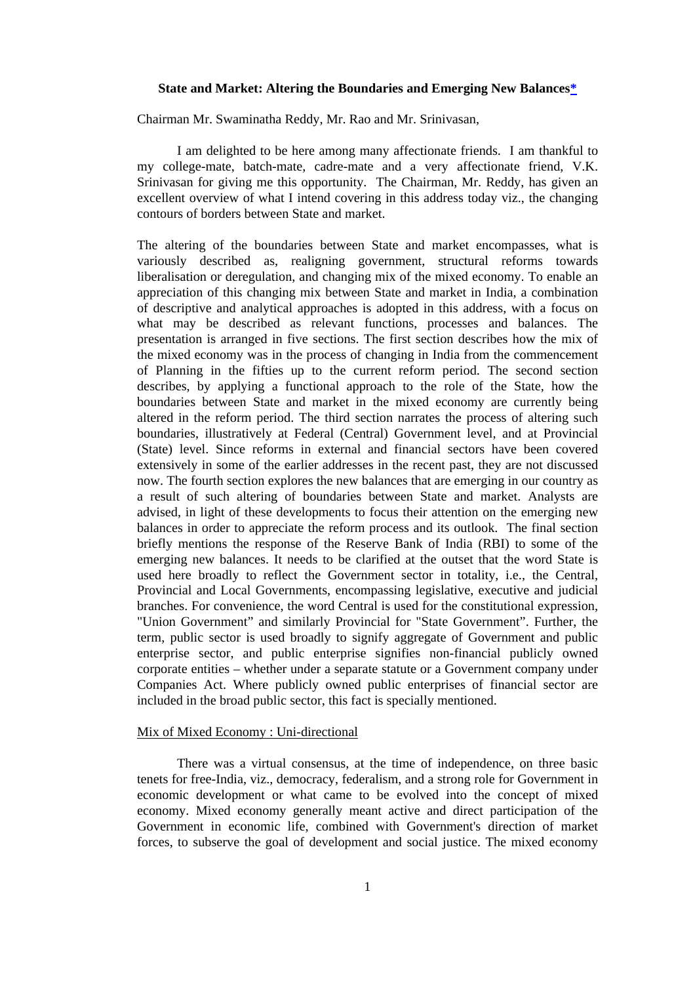### **State and Market: Altering the Boundaries and Emerging New Balances\***

Chairman Mr. Swaminatha Reddy, Mr. Rao and Mr. Srinivasan,

I am delighted to be here among many affectionate friends. I am thankful to my college-mate, batch-mate, cadre-mate and a very affectionate friend, V.K. Srinivasan for giving me this opportunity. The Chairman, Mr. Reddy, has given an excellent overview of what I intend covering in this address today viz., the changing contours of borders between State and market.

The altering of the boundaries between State and market encompasses, what is variously described as, realigning government, structural reforms towards liberalisation or deregulation, and changing mix of the mixed economy. To enable an appreciation of this changing mix between State and market in India, a combination of descriptive and analytical approaches is adopted in this address, with a focus on what may be described as relevant functions, processes and balances. The presentation is arranged in five sections. The first section describes how the mix of the mixed economy was in the process of changing in India from the commencement of Planning in the fifties up to the current reform period. The second section describes, by applying a functional approach to the role of the State, how the boundaries between State and market in the mixed economy are currently being altered in the reform period. The third section narrates the process of altering such boundaries, illustratively at Federal (Central) Government level, and at Provincial (State) level. Since reforms in external and financial sectors have been covered extensively in some of the earlier addresses in the recent past, they are not discussed now. The fourth section explores the new balances that are emerging in our country as a result of such altering of boundaries between State and market. Analysts are advised, in light of these developments to focus their attention on the emerging new balances in order to appreciate the reform process and its outlook. The final section briefly mentions the response of the Reserve Bank of India (RBI) to some of the emerging new balances. It needs to be clarified at the outset that the word State is used here broadly to reflect the Government sector in totality, i.e., the Central, Provincial and Local Governments, encompassing legislative, executive and judicial branches. For convenience, the word Central is used for the constitutional expression, "Union Government" and similarly Provincial for "State Government". Further, the term, public sector is used broadly to signify aggregate of Government and public enterprise sector, and public enterprise signifies non-financial publicly owned corporate entities – whether under a separate statute or a Government company under Companies Act. Where publicly owned public enterprises of financial sector are included in the broad public sector, this fact is specially mentioned.

# Mix of Mixed Economy : Uni-directional

There was a virtual consensus, at the time of independence, on three basic tenets for free-India, viz., democracy, federalism, and a strong role for Government in economic development or what came to be evolved into the concept of mixed economy. Mixed economy generally meant active and direct participation of the Government in economic life, combined with Government's direction of market forces, to subserve the goal of development and social justice. The mixed economy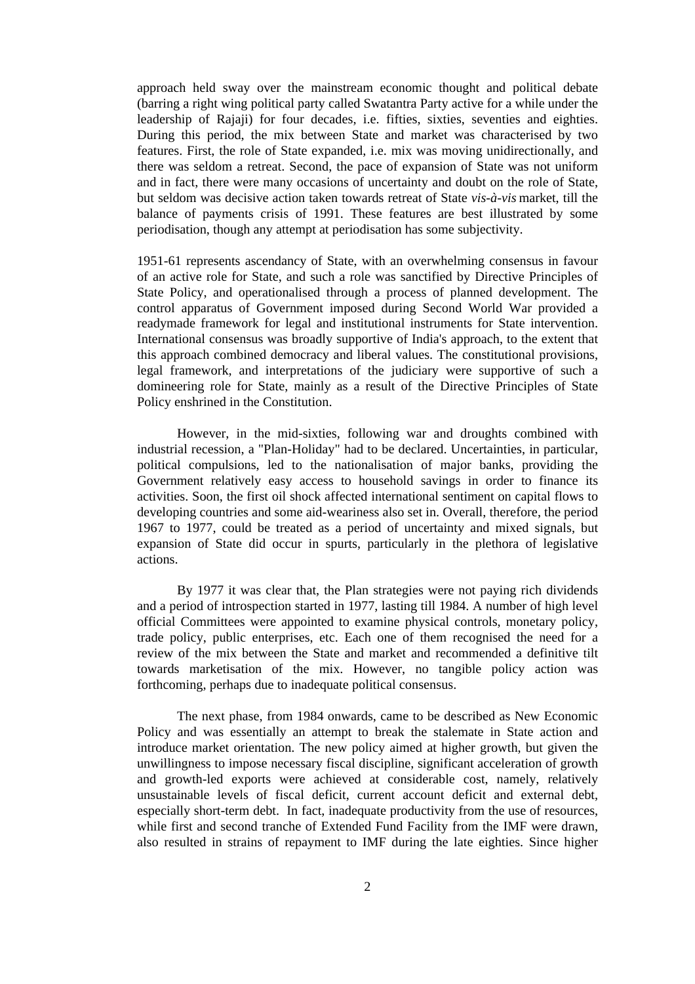approach held sway over the mainstream economic thought and political debate (barring a right wing political party called Swatantra Party active for a while under the leadership of Rajaji) for four decades, i.e. fifties, sixties, seventies and eighties. During this period, the mix between State and market was characterised by two features. First, the role of State expanded, i.e. mix was moving unidirectionally, and there was seldom a retreat. Second, the pace of expansion of State was not uniform and in fact, there were many occasions of uncertainty and doubt on the role of State, but seldom was decisive action taken towards retreat of State *vis-à-vis* market, till the balance of payments crisis of 1991. These features are best illustrated by some periodisation, though any attempt at periodisation has some subjectivity.

1951-61 represents ascendancy of State, with an overwhelming consensus in favour of an active role for State, and such a role was sanctified by Directive Principles of State Policy, and operationalised through a process of planned development. The control apparatus of Government imposed during Second World War provided a readymade framework for legal and institutional instruments for State intervention. International consensus was broadly supportive of India's approach, to the extent that this approach combined democracy and liberal values. The constitutional provisions, legal framework, and interpretations of the judiciary were supportive of such a domineering role for State, mainly as a result of the Directive Principles of State Policy enshrined in the Constitution.

However, in the mid-sixties, following war and droughts combined with industrial recession, a "Plan-Holiday" had to be declared. Uncertainties, in particular, political compulsions, led to the nationalisation of major banks, providing the Government relatively easy access to household savings in order to finance its activities. Soon, the first oil shock affected international sentiment on capital flows to developing countries and some aid-weariness also set in. Overall, therefore, the period 1967 to 1977, could be treated as a period of uncertainty and mixed signals, but expansion of State did occur in spurts, particularly in the plethora of legislative actions.

By 1977 it was clear that, the Plan strategies were not paying rich dividends and a period of introspection started in 1977, lasting till 1984. A number of high level official Committees were appointed to examine physical controls, monetary policy, trade policy, public enterprises, etc. Each one of them recognised the need for a review of the mix between the State and market and recommended a definitive tilt towards marketisation of the mix. However, no tangible policy action was forthcoming, perhaps due to inadequate political consensus.

The next phase, from 1984 onwards, came to be described as New Economic Policy and was essentially an attempt to break the stalemate in State action and introduce market orientation. The new policy aimed at higher growth, but given the unwillingness to impose necessary fiscal discipline, significant acceleration of growth and growth-led exports were achieved at considerable cost, namely, relatively unsustainable levels of fiscal deficit, current account deficit and external debt, especially short-term debt. In fact, inadequate productivity from the use of resources, while first and second tranche of Extended Fund Facility from the IMF were drawn, also resulted in strains of repayment to IMF during the late eighties. Since higher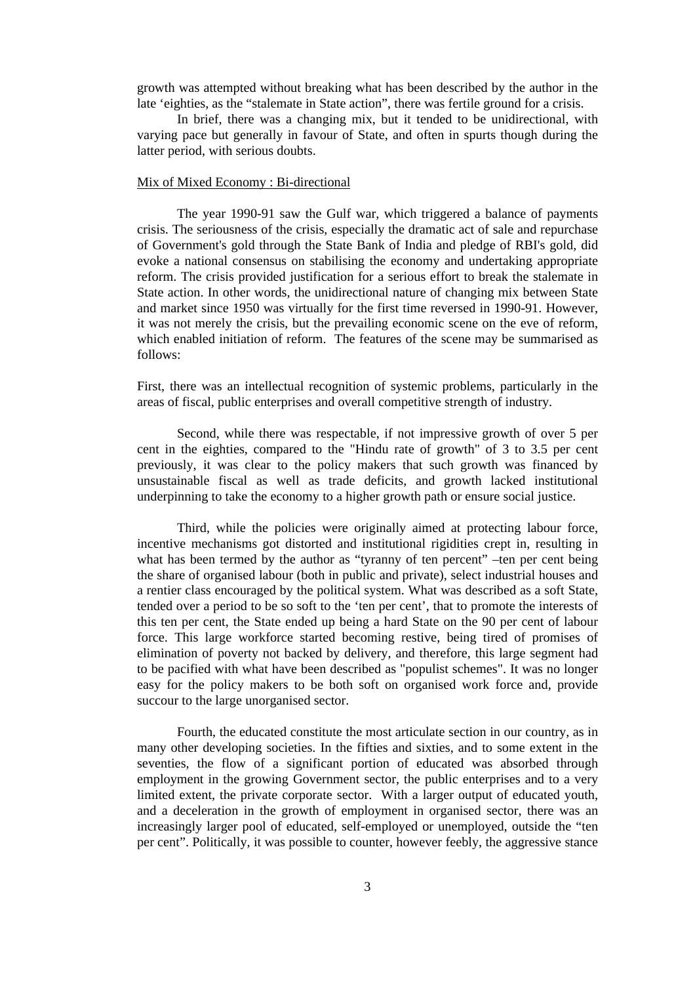growth was attempted without breaking what has been described by the author in the late 'eighties, as the "stalemate in State action", there was fertile ground for a crisis.

In brief, there was a changing mix, but it tended to be unidirectional, with varying pace but generally in favour of State, and often in spurts though during the latter period, with serious doubts.

### Mix of Mixed Economy : Bi-directional

The year 1990-91 saw the Gulf war, which triggered a balance of payments crisis. The seriousness of the crisis, especially the dramatic act of sale and repurchase of Government's gold through the State Bank of India and pledge of RBI's gold, did evoke a national consensus on stabilising the economy and undertaking appropriate reform. The crisis provided justification for a serious effort to break the stalemate in State action. In other words, the unidirectional nature of changing mix between State and market since 1950 was virtually for the first time reversed in 1990-91. However, it was not merely the crisis, but the prevailing economic scene on the eve of reform, which enabled initiation of reform. The features of the scene may be summarised as follows:

First, there was an intellectual recognition of systemic problems, particularly in the areas of fiscal, public enterprises and overall competitive strength of industry.

Second, while there was respectable, if not impressive growth of over 5 per cent in the eighties, compared to the "Hindu rate of growth" of 3 to 3.5 per cent previously, it was clear to the policy makers that such growth was financed by unsustainable fiscal as well as trade deficits, and growth lacked institutional underpinning to take the economy to a higher growth path or ensure social justice.

Third, while the policies were originally aimed at protecting labour force, incentive mechanisms got distorted and institutional rigidities crept in, resulting in what has been termed by the author as "tyranny of ten percent" –ten per cent being the share of organised labour (both in public and private), select industrial houses and a rentier class encouraged by the political system. What was described as a soft State, tended over a period to be so soft to the 'ten per cent', that to promote the interests of this ten per cent, the State ended up being a hard State on the 90 per cent of labour force. This large workforce started becoming restive, being tired of promises of elimination of poverty not backed by delivery, and therefore, this large segment had to be pacified with what have been described as "populist schemes". It was no longer easy for the policy makers to be both soft on organised work force and, provide succour to the large unorganised sector.

Fourth, the educated constitute the most articulate section in our country, as in many other developing societies. In the fifties and sixties, and to some extent in the seventies, the flow of a significant portion of educated was absorbed through employment in the growing Government sector, the public enterprises and to a very limited extent, the private corporate sector. With a larger output of educated youth, and a deceleration in the growth of employment in organised sector, there was an increasingly larger pool of educated, self-employed or unemployed, outside the "ten per cent". Politically, it was possible to counter, however feebly, the aggressive stance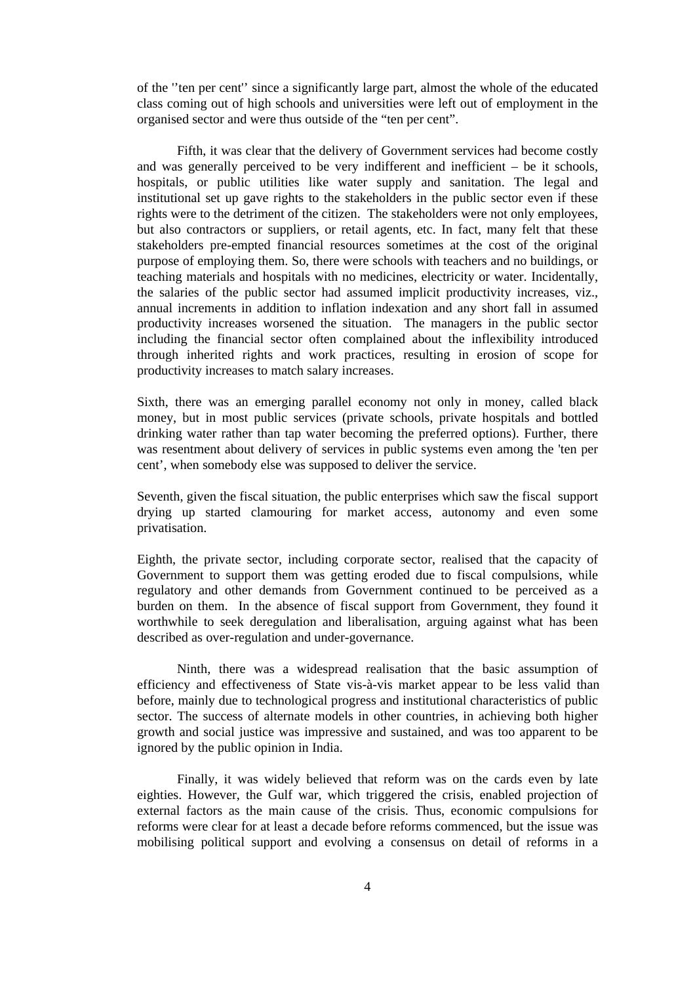of the ''ten per cent'' since a significantly large part, almost the whole of the educated class coming out of high schools and universities were left out of employment in the organised sector and were thus outside of the "ten per cent".

Fifth, it was clear that the delivery of Government services had become costly and was generally perceived to be very indifferent and inefficient – be it schools, hospitals, or public utilities like water supply and sanitation. The legal and institutional set up gave rights to the stakeholders in the public sector even if these rights were to the detriment of the citizen. The stakeholders were not only employees, but also contractors or suppliers, or retail agents, etc. In fact, many felt that these stakeholders pre-empted financial resources sometimes at the cost of the original purpose of employing them. So, there were schools with teachers and no buildings, or teaching materials and hospitals with no medicines, electricity or water. Incidentally, the salaries of the public sector had assumed implicit productivity increases, viz., annual increments in addition to inflation indexation and any short fall in assumed productivity increases worsened the situation. The managers in the public sector including the financial sector often complained about the inflexibility introduced through inherited rights and work practices, resulting in erosion of scope for productivity increases to match salary increases.

Sixth, there was an emerging parallel economy not only in money, called black money, but in most public services (private schools, private hospitals and bottled drinking water rather than tap water becoming the preferred options). Further, there was resentment about delivery of services in public systems even among the 'ten per cent', when somebody else was supposed to deliver the service.

Seventh, given the fiscal situation, the public enterprises which saw the fiscal support drying up started clamouring for market access, autonomy and even some privatisation.

Eighth, the private sector, including corporate sector, realised that the capacity of Government to support them was getting eroded due to fiscal compulsions, while regulatory and other demands from Government continued to be perceived as a burden on them. In the absence of fiscal support from Government, they found it worthwhile to seek deregulation and liberalisation, arguing against what has been described as over-regulation and under-governance.

Ninth, there was a widespread realisation that the basic assumption of efficiency and effectiveness of State vis-à-vis market appear to be less valid than before, mainly due to technological progress and institutional characteristics of public sector. The success of alternate models in other countries, in achieving both higher growth and social justice was impressive and sustained, and was too apparent to be ignored by the public opinion in India.

Finally, it was widely believed that reform was on the cards even by late eighties. However, the Gulf war, which triggered the crisis, enabled projection of external factors as the main cause of the crisis. Thus, economic compulsions for reforms were clear for at least a decade before reforms commenced, but the issue was mobilising political support and evolving a consensus on detail of reforms in a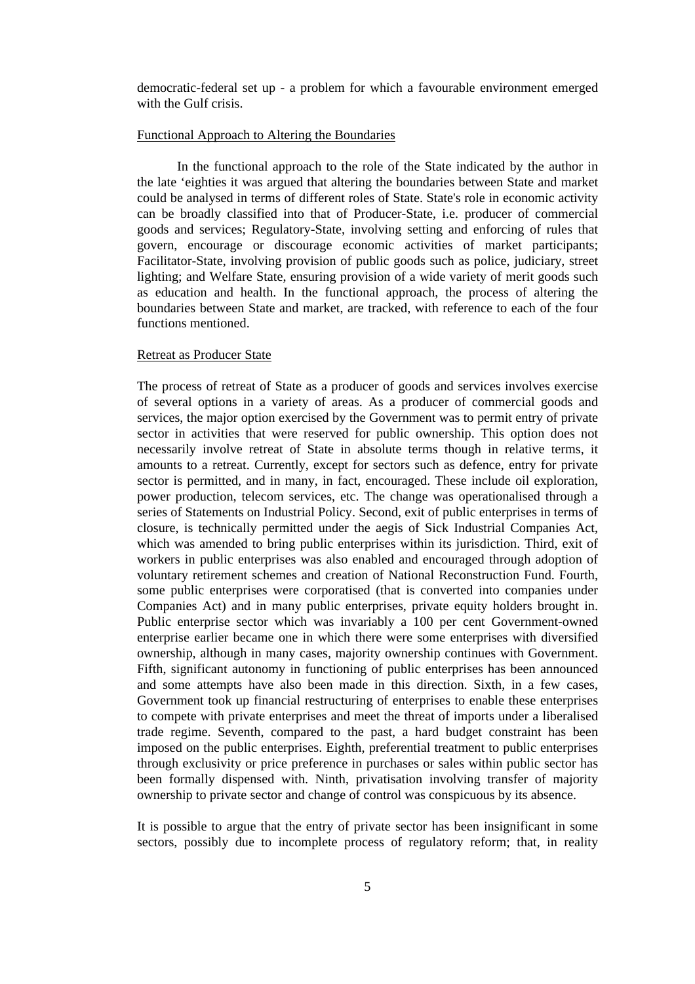democratic-federal set up - a problem for which a favourable environment emerged with the Gulf crisis.

## Functional Approach to Altering the Boundaries

In the functional approach to the role of the State indicated by the author in the late 'eighties it was argued that altering the boundaries between State and market could be analysed in terms of different roles of State. State's role in economic activity can be broadly classified into that of Producer-State, i.e. producer of commercial goods and services; Regulatory-State, involving setting and enforcing of rules that govern, encourage or discourage economic activities of market participants; Facilitator-State, involving provision of public goods such as police, judiciary, street lighting; and Welfare State, ensuring provision of a wide variety of merit goods such as education and health. In the functional approach, the process of altering the boundaries between State and market, are tracked, with reference to each of the four functions mentioned.

## Retreat as Producer State

The process of retreat of State as a producer of goods and services involves exercise of several options in a variety of areas. As a producer of commercial goods and services, the major option exercised by the Government was to permit entry of private sector in activities that were reserved for public ownership. This option does not necessarily involve retreat of State in absolute terms though in relative terms, it amounts to a retreat. Currently, except for sectors such as defence, entry for private sector is permitted, and in many, in fact, encouraged. These include oil exploration, power production, telecom services, etc. The change was operationalised through a series of Statements on Industrial Policy. Second, exit of public enterprises in terms of closure, is technically permitted under the aegis of Sick Industrial Companies Act, which was amended to bring public enterprises within its jurisdiction. Third, exit of workers in public enterprises was also enabled and encouraged through adoption of voluntary retirement schemes and creation of National Reconstruction Fund. Fourth, some public enterprises were corporatised (that is converted into companies under Companies Act) and in many public enterprises, private equity holders brought in. Public enterprise sector which was invariably a 100 per cent Government-owned enterprise earlier became one in which there were some enterprises with diversified ownership, although in many cases, majority ownership continues with Government. Fifth, significant autonomy in functioning of public enterprises has been announced and some attempts have also been made in this direction. Sixth, in a few cases, Government took up financial restructuring of enterprises to enable these enterprises to compete with private enterprises and meet the threat of imports under a liberalised trade regime. Seventh, compared to the past, a hard budget constraint has been imposed on the public enterprises. Eighth, preferential treatment to public enterprises through exclusivity or price preference in purchases or sales within public sector has been formally dispensed with. Ninth, privatisation involving transfer of majority ownership to private sector and change of control was conspicuous by its absence.

It is possible to argue that the entry of private sector has been insignificant in some sectors, possibly due to incomplete process of regulatory reform; that, in reality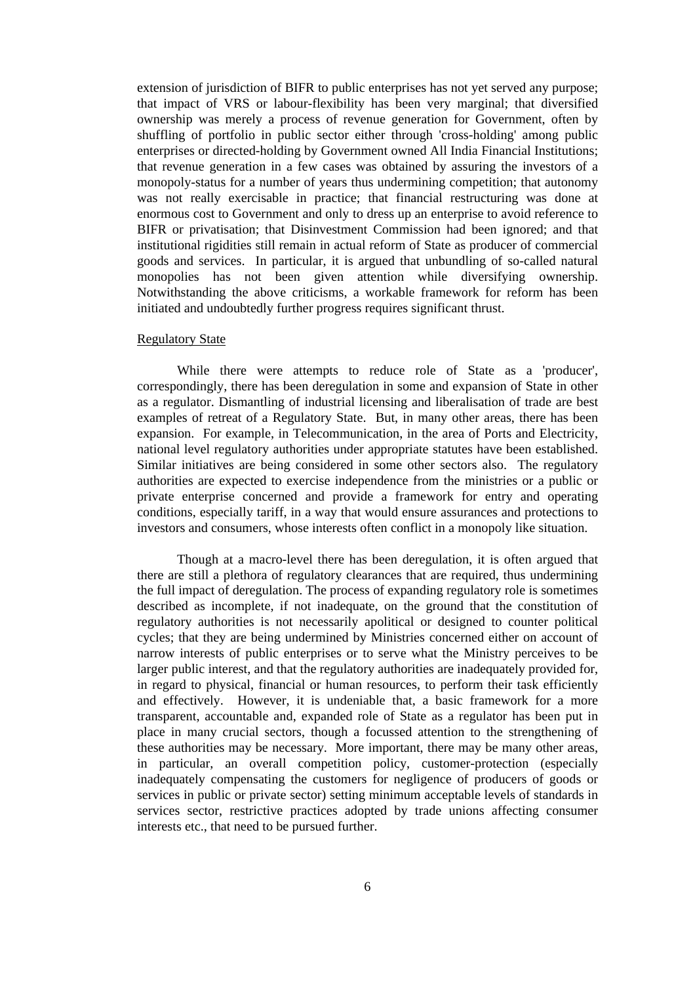extension of jurisdiction of BIFR to public enterprises has not yet served any purpose; that impact of VRS or labour-flexibility has been very marginal; that diversified ownership was merely a process of revenue generation for Government, often by shuffling of portfolio in public sector either through 'cross-holding' among public enterprises or directed-holding by Government owned All India Financial Institutions; that revenue generation in a few cases was obtained by assuring the investors of a monopoly-status for a number of years thus undermining competition; that autonomy was not really exercisable in practice; that financial restructuring was done at enormous cost to Government and only to dress up an enterprise to avoid reference to BIFR or privatisation; that Disinvestment Commission had been ignored; and that institutional rigidities still remain in actual reform of State as producer of commercial goods and services. In particular, it is argued that unbundling of so-called natural monopolies has not been given attention while diversifying ownership. Notwithstanding the above criticisms, a workable framework for reform has been initiated and undoubtedly further progress requires significant thrust.

#### Regulatory State

While there were attempts to reduce role of State as a 'producer', correspondingly, there has been deregulation in some and expansion of State in other as a regulator. Dismantling of industrial licensing and liberalisation of trade are best examples of retreat of a Regulatory State. But, in many other areas, there has been expansion. For example, in Telecommunication, in the area of Ports and Electricity, national level regulatory authorities under appropriate statutes have been established. Similar initiatives are being considered in some other sectors also. The regulatory authorities are expected to exercise independence from the ministries or a public or private enterprise concerned and provide a framework for entry and operating conditions, especially tariff, in a way that would ensure assurances and protections to investors and consumers, whose interests often conflict in a monopoly like situation.

Though at a macro-level there has been deregulation, it is often argued that there are still a plethora of regulatory clearances that are required, thus undermining the full impact of deregulation. The process of expanding regulatory role is sometimes described as incomplete, if not inadequate, on the ground that the constitution of regulatory authorities is not necessarily apolitical or designed to counter political cycles; that they are being undermined by Ministries concerned either on account of narrow interests of public enterprises or to serve what the Ministry perceives to be larger public interest, and that the regulatory authorities are inadequately provided for, in regard to physical, financial or human resources, to perform their task efficiently and effectively. However, it is undeniable that, a basic framework for a more transparent, accountable and, expanded role of State as a regulator has been put in place in many crucial sectors, though a focussed attention to the strengthening of these authorities may be necessary. More important, there may be many other areas, in particular, an overall competition policy, customer-protection (especially inadequately compensating the customers for negligence of producers of goods or services in public or private sector) setting minimum acceptable levels of standards in services sector, restrictive practices adopted by trade unions affecting consumer interests etc., that need to be pursued further.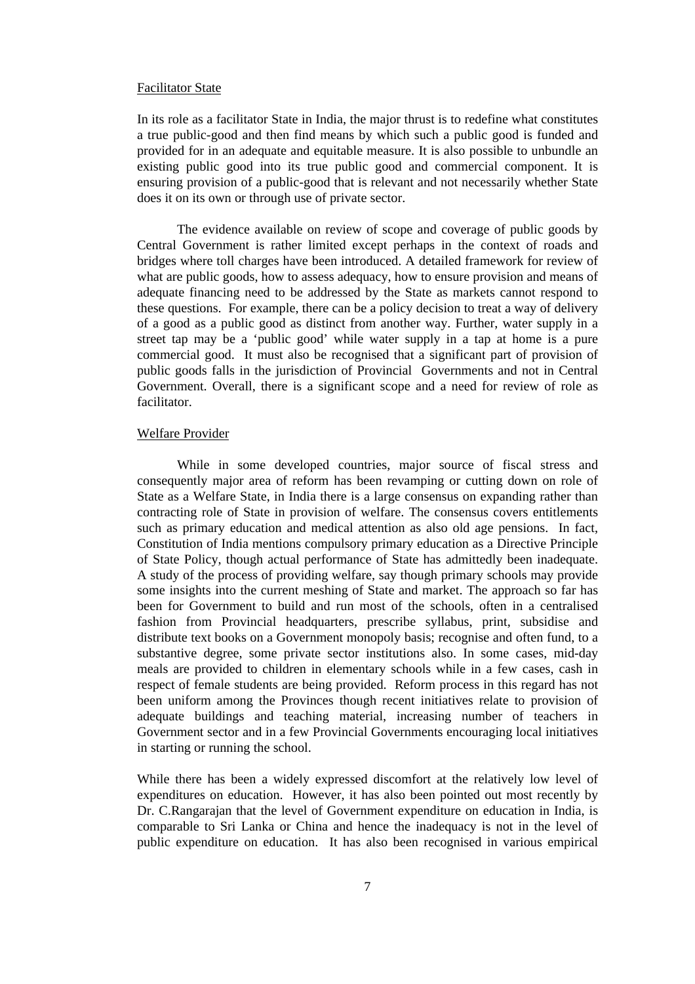### Facilitator State

In its role as a facilitator State in India, the major thrust is to redefine what constitutes a true public-good and then find means by which such a public good is funded and provided for in an adequate and equitable measure. It is also possible to unbundle an existing public good into its true public good and commercial component. It is ensuring provision of a public-good that is relevant and not necessarily whether State does it on its own or through use of private sector.

The evidence available on review of scope and coverage of public goods by Central Government is rather limited except perhaps in the context of roads and bridges where toll charges have been introduced. A detailed framework for review of what are public goods, how to assess adequacy, how to ensure provision and means of adequate financing need to be addressed by the State as markets cannot respond to these questions. For example, there can be a policy decision to treat a way of delivery of a good as a public good as distinct from another way. Further, water supply in a street tap may be a 'public good' while water supply in a tap at home is a pure commercial good. It must also be recognised that a significant part of provision of public goods falls in the jurisdiction of Provincial Governments and not in Central Government. Overall, there is a significant scope and a need for review of role as facilitator.

## Welfare Provider

While in some developed countries, major source of fiscal stress and consequently major area of reform has been revamping or cutting down on role of State as a Welfare State, in India there is a large consensus on expanding rather than contracting role of State in provision of welfare. The consensus covers entitlements such as primary education and medical attention as also old age pensions. In fact, Constitution of India mentions compulsory primary education as a Directive Principle of State Policy, though actual performance of State has admittedly been inadequate. A study of the process of providing welfare, say though primary schools may provide some insights into the current meshing of State and market. The approach so far has been for Government to build and run most of the schools, often in a centralised fashion from Provincial headquarters, prescribe syllabus, print, subsidise and distribute text books on a Government monopoly basis; recognise and often fund, to a substantive degree, some private sector institutions also. In some cases, mid-day meals are provided to children in elementary schools while in a few cases, cash in respect of female students are being provided. Reform process in this regard has not been uniform among the Provinces though recent initiatives relate to provision of adequate buildings and teaching material, increasing number of teachers in Government sector and in a few Provincial Governments encouraging local initiatives in starting or running the school.

While there has been a widely expressed discomfort at the relatively low level of expenditures on education. However, it has also been pointed out most recently by Dr. C.Rangarajan that the level of Government expenditure on education in India, is comparable to Sri Lanka or China and hence the inadequacy is not in the level of public expenditure on education. It has also been recognised in various empirical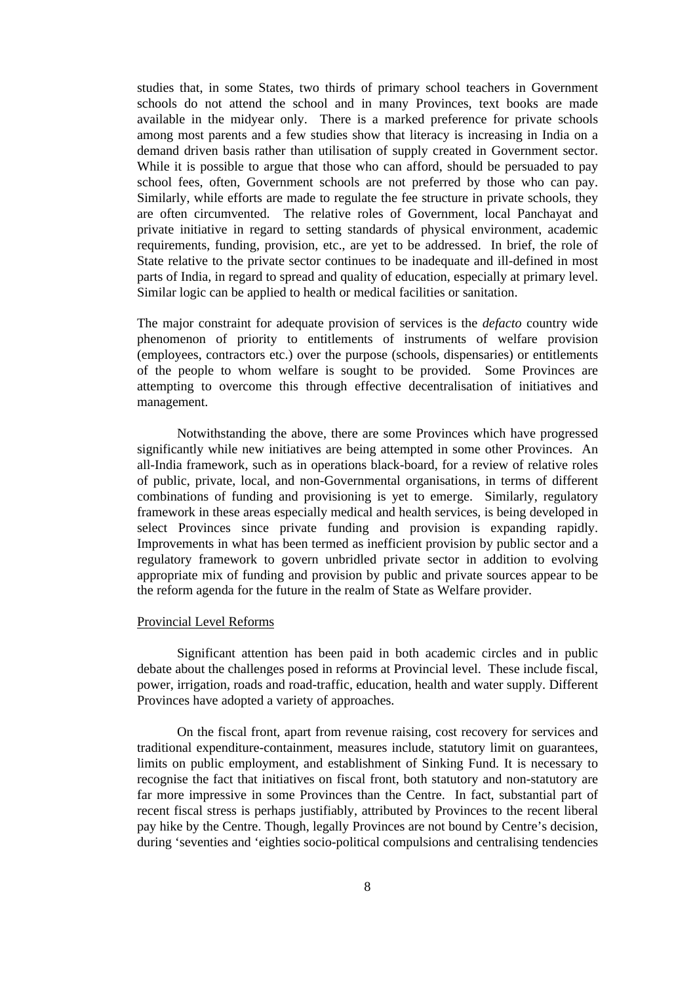studies that, in some States, two thirds of primary school teachers in Government schools do not attend the school and in many Provinces, text books are made available in the midyear only. There is a marked preference for private schools among most parents and a few studies show that literacy is increasing in India on a demand driven basis rather than utilisation of supply created in Government sector. While it is possible to argue that those who can afford, should be persuaded to pay school fees, often, Government schools are not preferred by those who can pay. Similarly, while efforts are made to regulate the fee structure in private schools, they are often circumvented. The relative roles of Government, local Panchayat and private initiative in regard to setting standards of physical environment, academic requirements, funding, provision, etc., are yet to be addressed. In brief, the role of State relative to the private sector continues to be inadequate and ill-defined in most parts of India, in regard to spread and quality of education, especially at primary level. Similar logic can be applied to health or medical facilities or sanitation.

The major constraint for adequate provision of services is the *defacto* country wide phenomenon of priority to entitlements of instruments of welfare provision (employees, contractors etc.) over the purpose (schools, dispensaries) or entitlements of the people to whom welfare is sought to be provided. Some Provinces are attempting to overcome this through effective decentralisation of initiatives and management.

Notwithstanding the above, there are some Provinces which have progressed significantly while new initiatives are being attempted in some other Provinces. An all-India framework, such as in operations black-board, for a review of relative roles of public, private, local, and non-Governmental organisations, in terms of different combinations of funding and provisioning is yet to emerge. Similarly, regulatory framework in these areas especially medical and health services, is being developed in select Provinces since private funding and provision is expanding rapidly. Improvements in what has been termed as inefficient provision by public sector and a regulatory framework to govern unbridled private sector in addition to evolving appropriate mix of funding and provision by public and private sources appear to be the reform agenda for the future in the realm of State as Welfare provider.

### Provincial Level Reforms

Significant attention has been paid in both academic circles and in public debate about the challenges posed in reforms at Provincial level. These include fiscal, power, irrigation, roads and road-traffic, education, health and water supply. Different Provinces have adopted a variety of approaches.

On the fiscal front, apart from revenue raising, cost recovery for services and traditional expenditure-containment, measures include, statutory limit on guarantees, limits on public employment, and establishment of Sinking Fund. It is necessary to recognise the fact that initiatives on fiscal front, both statutory and non-statutory are far more impressive in some Provinces than the Centre. In fact, substantial part of recent fiscal stress is perhaps justifiably, attributed by Provinces to the recent liberal pay hike by the Centre. Though, legally Provinces are not bound by Centre's decision, during 'seventies and 'eighties socio-political compulsions and centralising tendencies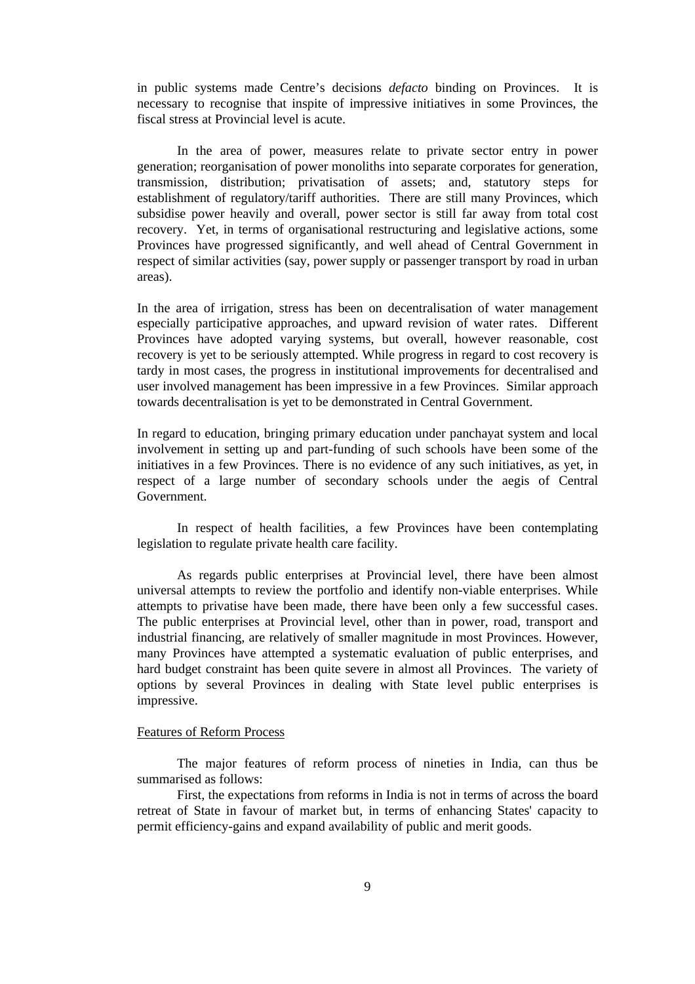in public systems made Centre's decisions *defacto* binding on Provinces. It is necessary to recognise that inspite of impressive initiatives in some Provinces, the fiscal stress at Provincial level is acute.

In the area of power, measures relate to private sector entry in power generation; reorganisation of power monoliths into separate corporates for generation, transmission, distribution; privatisation of assets; and, statutory steps for establishment of regulatory/tariff authorities. There are still many Provinces, which subsidise power heavily and overall, power sector is still far away from total cost recovery. Yet, in terms of organisational restructuring and legislative actions, some Provinces have progressed significantly, and well ahead of Central Government in respect of similar activities (say, power supply or passenger transport by road in urban areas).

In the area of irrigation, stress has been on decentralisation of water management especially participative approaches, and upward revision of water rates. Different Provinces have adopted varying systems, but overall, however reasonable, cost recovery is yet to be seriously attempted. While progress in regard to cost recovery is tardy in most cases, the progress in institutional improvements for decentralised and user involved management has been impressive in a few Provinces. Similar approach towards decentralisation is yet to be demonstrated in Central Government.

In regard to education, bringing primary education under panchayat system and local involvement in setting up and part-funding of such schools have been some of the initiatives in a few Provinces. There is no evidence of any such initiatives, as yet, in respect of a large number of secondary schools under the aegis of Central Government.

In respect of health facilities, a few Provinces have been contemplating legislation to regulate private health care facility.

As regards public enterprises at Provincial level, there have been almost universal attempts to review the portfolio and identify non-viable enterprises. While attempts to privatise have been made, there have been only a few successful cases. The public enterprises at Provincial level, other than in power, road, transport and industrial financing, are relatively of smaller magnitude in most Provinces. However, many Provinces have attempted a systematic evaluation of public enterprises, and hard budget constraint has been quite severe in almost all Provinces. The variety of options by several Provinces in dealing with State level public enterprises is impressive.

### Features of Reform Process

The major features of reform process of nineties in India, can thus be summarised as follows:

First, the expectations from reforms in India is not in terms of across the board retreat of State in favour of market but, in terms of enhancing States' capacity to permit efficiency-gains and expand availability of public and merit goods.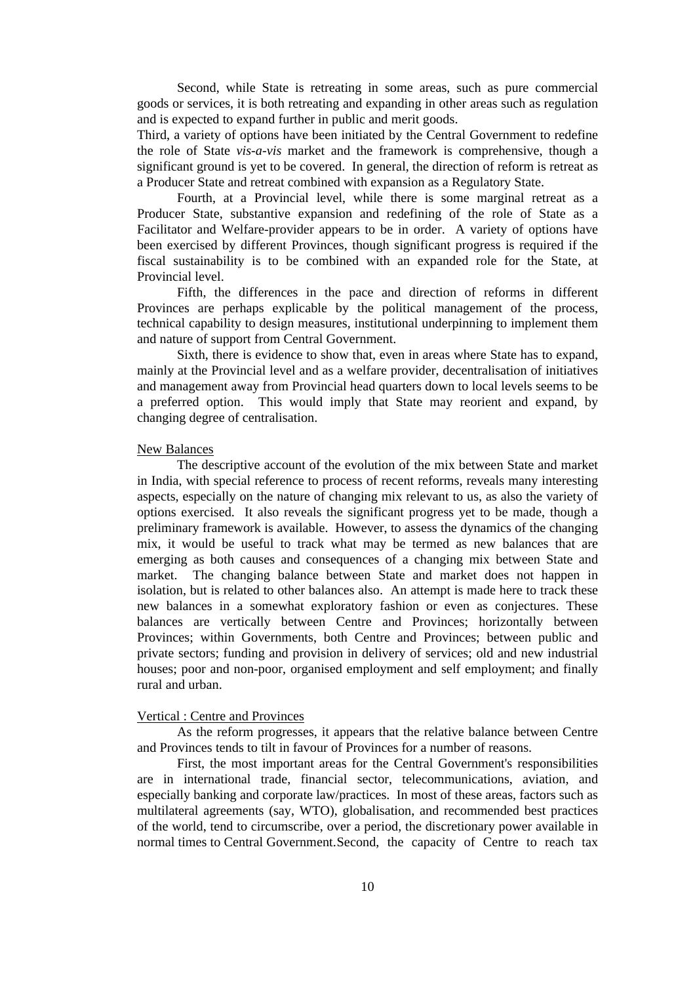Second, while State is retreating in some areas, such as pure commercial goods or services, it is both retreating and expanding in other areas such as regulation and is expected to expand further in public and merit goods.

Third, a variety of options have been initiated by the Central Government to redefine the role of State *vis-a-vis* market and the framework is comprehensive, though a significant ground is yet to be covered. In general, the direction of reform is retreat as a Producer State and retreat combined with expansion as a Regulatory State.

Fourth, at a Provincial level, while there is some marginal retreat as a Producer State, substantive expansion and redefining of the role of State as a Facilitator and Welfare-provider appears to be in order. A variety of options have been exercised by different Provinces, though significant progress is required if the fiscal sustainability is to be combined with an expanded role for the State, at Provincial level.

Fifth, the differences in the pace and direction of reforms in different Provinces are perhaps explicable by the political management of the process, technical capability to design measures, institutional underpinning to implement them and nature of support from Central Government.

Sixth, there is evidence to show that, even in areas where State has to expand, mainly at the Provincial level and as a welfare provider, decentralisation of initiatives and management away from Provincial head quarters down to local levels seems to be a preferred option. This would imply that State may reorient and expand, by changing degree of centralisation.

### New Balances

The descriptive account of the evolution of the mix between State and market in India, with special reference to process of recent reforms, reveals many interesting aspects, especially on the nature of changing mix relevant to us, as also the variety of options exercised. It also reveals the significant progress yet to be made, though a preliminary framework is available. However, to assess the dynamics of the changing mix, it would be useful to track what may be termed as new balances that are emerging as both causes and consequences of a changing mix between State and market. The changing balance between State and market does not happen in isolation, but is related to other balances also. An attempt is made here to track these new balances in a somewhat exploratory fashion or even as conjectures. These balances are vertically between Centre and Provinces; horizontally between Provinces; within Governments, both Centre and Provinces; between public and private sectors; funding and provision in delivery of services; old and new industrial houses; poor and non-poor, organised employment and self employment; and finally rural and urban.

### Vertical : Centre and Provinces

As the reform progresses, it appears that the relative balance between Centre and Provinces tends to tilt in favour of Provinces for a number of reasons.

First, the most important areas for the Central Government's responsibilities are in international trade, financial sector, telecommunications, aviation, and especially banking and corporate law/practices. In most of these areas, factors such as multilateral agreements (say, WTO), globalisation, and recommended best practices of the world, tend to circumscribe, over a period, the discretionary power available in normal times to Central Government.Second, the capacity of Centre to reach tax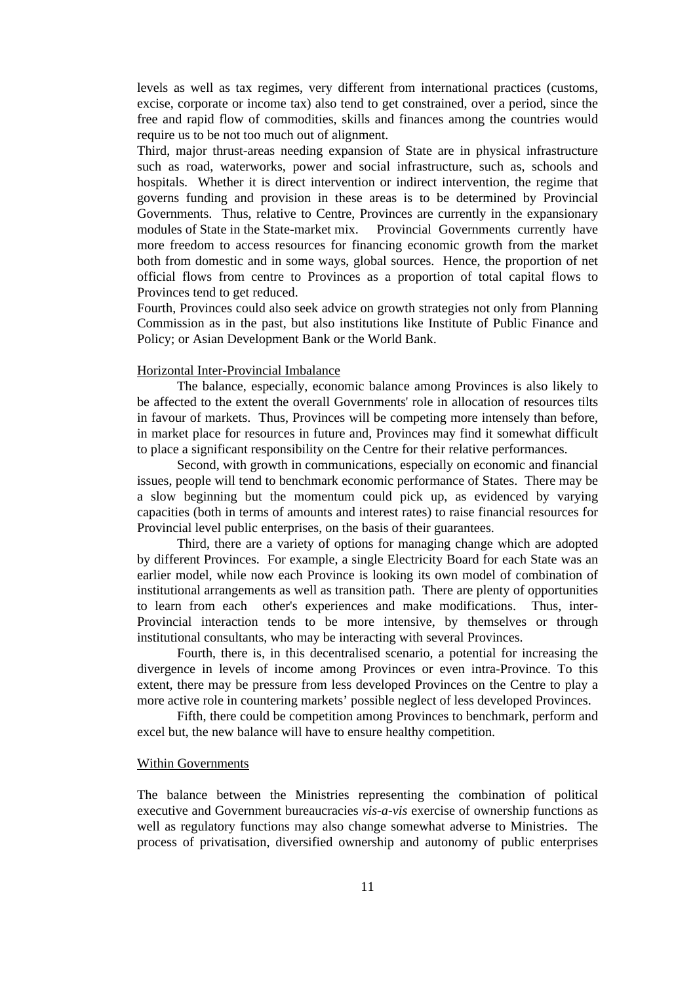levels as well as tax regimes, very different from international practices (customs, excise, corporate or income tax) also tend to get constrained, over a period, since the free and rapid flow of commodities, skills and finances among the countries would require us to be not too much out of alignment.

Third, major thrust-areas needing expansion of State are in physical infrastructure such as road, waterworks, power and social infrastructure, such as, schools and hospitals. Whether it is direct intervention or indirect intervention, the regime that governs funding and provision in these areas is to be determined by Provincial Governments. Thus, relative to Centre, Provinces are currently in the expansionary modules of State in the State-market mix. Provincial Governments currently have more freedom to access resources for financing economic growth from the market both from domestic and in some ways, global sources. Hence, the proportion of net official flows from centre to Provinces as a proportion of total capital flows to Provinces tend to get reduced.

Fourth, Provinces could also seek advice on growth strategies not only from Planning Commission as in the past, but also institutions like Institute of Public Finance and Policy; or Asian Development Bank or the World Bank.

### Horizontal Inter-Provincial Imbalance

The balance, especially, economic balance among Provinces is also likely to be affected to the extent the overall Governments' role in allocation of resources tilts in favour of markets. Thus, Provinces will be competing more intensely than before, in market place for resources in future and, Provinces may find it somewhat difficult to place a significant responsibility on the Centre for their relative performances.

Second, with growth in communications, especially on economic and financial issues, people will tend to benchmark economic performance of States. There may be a slow beginning but the momentum could pick up, as evidenced by varying capacities (both in terms of amounts and interest rates) to raise financial resources for Provincial level public enterprises, on the basis of their guarantees.

Third, there are a variety of options for managing change which are adopted by different Provinces. For example, a single Electricity Board for each State was an earlier model, while now each Province is looking its own model of combination of institutional arrangements as well as transition path. There are plenty of opportunities to learn from each other's experiences and make modifications. Thus, inter-Provincial interaction tends to be more intensive, by themselves or through institutional consultants, who may be interacting with several Provinces.

Fourth, there is, in this decentralised scenario, a potential for increasing the divergence in levels of income among Provinces or even intra-Province. To this extent, there may be pressure from less developed Provinces on the Centre to play a more active role in countering markets' possible neglect of less developed Provinces.

Fifth, there could be competition among Provinces to benchmark, perform and excel but, the new balance will have to ensure healthy competition.

### Within Governments

The balance between the Ministries representing the combination of political executive and Government bureaucracies *vis-a-vis* exercise of ownership functions as well as regulatory functions may also change somewhat adverse to Ministries. The process of privatisation, diversified ownership and autonomy of public enterprises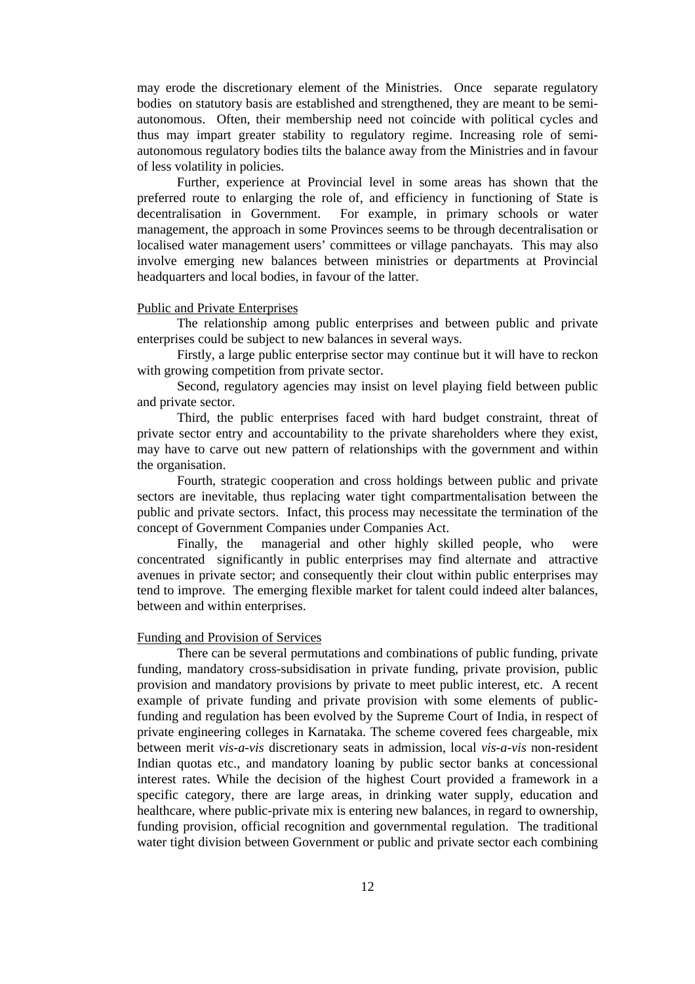may erode the discretionary element of the Ministries. Once separate regulatory bodies on statutory basis are established and strengthened, they are meant to be semiautonomous. Often, their membership need not coincide with political cycles and thus may impart greater stability to regulatory regime. Increasing role of semiautonomous regulatory bodies tilts the balance away from the Ministries and in favour of less volatility in policies.

Further, experience at Provincial level in some areas has shown that the preferred route to enlarging the role of, and efficiency in functioning of State is decentralisation in Government. For example, in primary schools or water management, the approach in some Provinces seems to be through decentralisation or localised water management users' committees or village panchayats. This may also involve emerging new balances between ministries or departments at Provincial headquarters and local bodies, in favour of the latter.

### Public and Private Enterprises

The relationship among public enterprises and between public and private enterprises could be subject to new balances in several ways.

Firstly, a large public enterprise sector may continue but it will have to reckon with growing competition from private sector.

Second, regulatory agencies may insist on level playing field between public and private sector.

Third, the public enterprises faced with hard budget constraint, threat of private sector entry and accountability to the private shareholders where they exist, may have to carve out new pattern of relationships with the government and within the organisation.

Fourth, strategic cooperation and cross holdings between public and private sectors are inevitable, thus replacing water tight compartmentalisation between the public and private sectors. Infact, this process may necessitate the termination of the concept of Government Companies under Companies Act.

Finally, the managerial and other highly skilled people, who were concentrated significantly in public enterprises may find alternate and attractive avenues in private sector; and consequently their clout within public enterprises may tend to improve. The emerging flexible market for talent could indeed alter balances, between and within enterprises.

## Funding and Provision of Services

There can be several permutations and combinations of public funding, private funding, mandatory cross-subsidisation in private funding, private provision, public provision and mandatory provisions by private to meet public interest, etc. A recent example of private funding and private provision with some elements of publicfunding and regulation has been evolved by the Supreme Court of India, in respect of private engineering colleges in Karnataka. The scheme covered fees chargeable, mix between merit *vis-a-vis* discretionary seats in admission, local *vis-a-vis* non-resident Indian quotas etc., and mandatory loaning by public sector banks at concessional interest rates. While the decision of the highest Court provided a framework in a specific category, there are large areas, in drinking water supply, education and healthcare, where public-private mix is entering new balances, in regard to ownership, funding provision, official recognition and governmental regulation. The traditional water tight division between Government or public and private sector each combining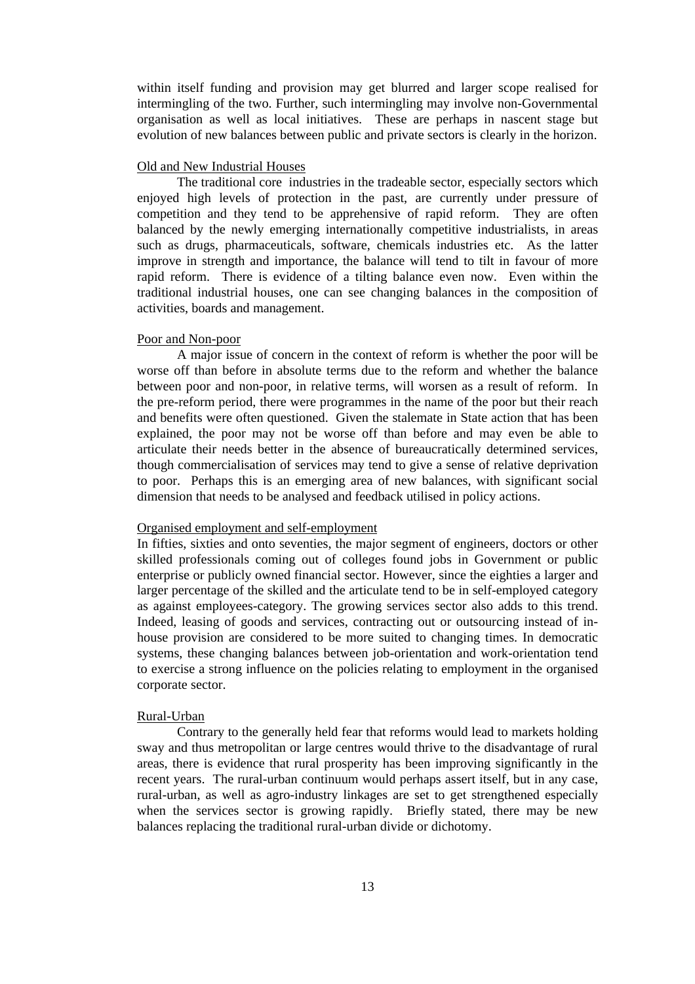within itself funding and provision may get blurred and larger scope realised for intermingling of the two. Further, such intermingling may involve non-Governmental organisation as well as local initiatives. These are perhaps in nascent stage but evolution of new balances between public and private sectors is clearly in the horizon.

### Old and New Industrial Houses

The traditional core industries in the tradeable sector, especially sectors which enjoyed high levels of protection in the past, are currently under pressure of competition and they tend to be apprehensive of rapid reform. They are often balanced by the newly emerging internationally competitive industrialists, in areas such as drugs, pharmaceuticals, software, chemicals industries etc. As the latter improve in strength and importance, the balance will tend to tilt in favour of more rapid reform. There is evidence of a tilting balance even now. Even within the traditional industrial houses, one can see changing balances in the composition of activities, boards and management.

### Poor and Non-poor

A major issue of concern in the context of reform is whether the poor will be worse off than before in absolute terms due to the reform and whether the balance between poor and non-poor, in relative terms, will worsen as a result of reform. In the pre-reform period, there were programmes in the name of the poor but their reach and benefits were often questioned. Given the stalemate in State action that has been explained, the poor may not be worse off than before and may even be able to articulate their needs better in the absence of bureaucratically determined services, though commercialisation of services may tend to give a sense of relative deprivation to poor. Perhaps this is an emerging area of new balances, with significant social dimension that needs to be analysed and feedback utilised in policy actions.

### Organised employment and self-employment

In fifties, sixties and onto seventies, the major segment of engineers, doctors or other skilled professionals coming out of colleges found jobs in Government or public enterprise or publicly owned financial sector. However, since the eighties a larger and larger percentage of the skilled and the articulate tend to be in self-employed category as against employees-category. The growing services sector also adds to this trend. Indeed, leasing of goods and services, contracting out or outsourcing instead of inhouse provision are considered to be more suited to changing times. In democratic systems, these changing balances between job-orientation and work-orientation tend to exercise a strong influence on the policies relating to employment in the organised corporate sector.

### Rural-Urban

Contrary to the generally held fear that reforms would lead to markets holding sway and thus metropolitan or large centres would thrive to the disadvantage of rural areas, there is evidence that rural prosperity has been improving significantly in the recent years. The rural-urban continuum would perhaps assert itself, but in any case, rural-urban, as well as agro-industry linkages are set to get strengthened especially when the services sector is growing rapidly. Briefly stated, there may be new balances replacing the traditional rural-urban divide or dichotomy.